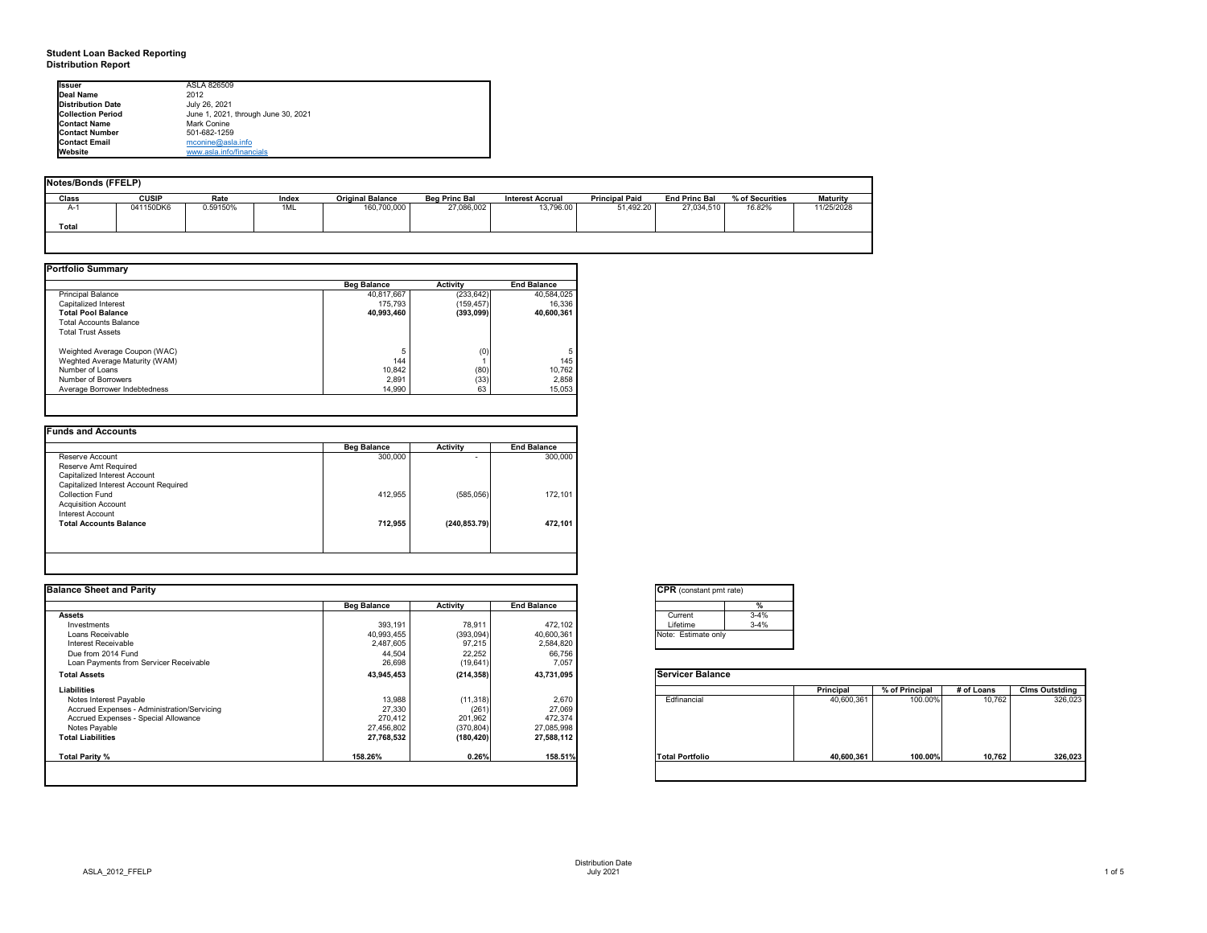#### **Student Loan Backed Reporting Distribution Report**

#### **Notes/Bonds (FFELP)**

| Notes/Bonds (FFELP) |              |          |       |                         |                      |                         |                       |                      |                 |                 |
|---------------------|--------------|----------|-------|-------------------------|----------------------|-------------------------|-----------------------|----------------------|-----------------|-----------------|
| <b>Class</b>        | <b>CUSIP</b> | Rate     | Index | <b>Original Balance</b> | <b>Beg Princ Bal</b> | <b>Interest Accrual</b> | <b>Principal Paid</b> | <b>End Princ Bal</b> | % of Securities | <b>Maturity</b> |
| $A-1$               | 041150DK6    | 0.59150% | 1ML   | 160,700,000             | 27,086,002           | 13,796.00               | 51,492.20             | 27,034,510           | 16.82%          | 11/25/2028      |
| <b>Total</b>        |              |          |       |                         |                      |                         |                       |                      |                 |                 |
|                     |              |          |       |                         |                      |                         |                       |                      |                 |                 |

| <b>Portfolio Summary</b>       |                    |                 |                    |
|--------------------------------|--------------------|-----------------|--------------------|
|                                | <b>Beg Balance</b> | <b>Activity</b> | <b>End Balance</b> |
| <b>Principal Balance</b>       | 40,817,667         | (233, 642)      | 40,584,025         |
| Capitalized Interest           | 175,793            | (159, 457)      | 16,336             |
| <b>Total Pool Balance</b>      | 40,993,460         | (393,099)       | 40,600,361         |
| <b>Total Accounts Balance</b>  |                    |                 |                    |
| <b>Total Trust Assets</b>      |                    |                 |                    |
| Weighted Average Coupon (WAC)  | 5                  | (0)             | 5                  |
| Weghted Average Maturity (WAM) | 144                |                 | 145                |
| Number of Loans                | 10,842             | (80)            | 10,762             |
| Number of Borrowers            | 2,891              | (33)            | 2,858              |
| Average Borrower Indebtedness  | 14,990             | 63              | 15,053             |
|                                |                    |                 |                    |

|                                       | <b>Beg Balance</b> | <b>Activity</b> | <b>End Balance</b> |
|---------------------------------------|--------------------|-----------------|--------------------|
| Reserve Account                       | 300,000            |                 | 300,000            |
| Reserve Amt Required                  |                    |                 |                    |
| Capitalized Interest Account          |                    |                 |                    |
| Capitalized Interest Account Required |                    |                 |                    |
| <b>Collection Fund</b>                | 412,955            | (585,056)       | 172,101            |
| <b>Acquisition Account</b>            |                    |                 |                    |
| Interest Account                      |                    |                 |                    |
| <b>Total Accounts Balance</b>         | 712,955            | (240, 853.79)   | 472,101            |
|                                       |                    |                 |                    |
|                                       |                    |                 |                    |

| <b>Ilssuer</b>           | ASLA 826509                         |
|--------------------------|-------------------------------------|
| Deal Name                | 2012                                |
| <b>Distribution Date</b> | July 26, 2021                       |
| <b>Collection Period</b> | June 1, 2021, through June 30, 2021 |
| <b>Contact Name</b>      | Mark Conine                         |
| <b>Contact Number</b>    | 501-682-1259                        |
| <b>Contact Email</b>     | $m$ conine@asla.info                |
| <b>Website</b>           | www.asla.info/financials            |

| <b>Balance Sheet and Parity</b>             |                    |                 |                    | <b>CPR</b> (constant pmt rate) |          |            |                |            |                       |
|---------------------------------------------|--------------------|-----------------|--------------------|--------------------------------|----------|------------|----------------|------------|-----------------------|
|                                             | <b>Beg Balance</b> | <b>Activity</b> | <b>End Balance</b> |                                |          |            |                |            |                       |
| Assets                                      |                    |                 |                    | Current                        | $3 - 4%$ |            |                |            |                       |
| Investments                                 | 393,191            | 78,911          | 472,102            | Lifetime                       | $3 - 4%$ |            |                |            |                       |
| Loans Receivable                            | 40,993,455         | (393,094)       | 40,600,361         | Note: Estimate only            |          |            |                |            |                       |
| Interest Receivable                         | 2,487,605          | 97,215          | 2,584,820          |                                |          |            |                |            |                       |
| Due from 2014 Fund                          | 44,504             | 22,252          | 66,756             |                                |          |            |                |            |                       |
| Loan Payments from Servicer Receivable      | 26,698             | (19, 641)       | 7,057              |                                |          |            |                |            |                       |
| <b>Total Assets</b>                         | 43,945,453         | (214, 358)      | 43,731,095         | <b>Servicer Balance</b>        |          |            |                |            |                       |
| <b>Liabilities</b>                          |                    |                 |                    |                                |          | Principal  | % of Principal | # of Loans | <b>Clms Outstding</b> |
| Notes Interest Payable                      | 13,988             | (11, 318)       | 2,670              | Edfinancial                    |          | 40,600,361 | 100.00%        | 10,762     | 326,023               |
| Accrued Expenses - Administration/Servicing | 27,330             | (261)           | 27,069             |                                |          |            |                |            |                       |
| Accrued Expenses - Special Allowance        | 270,412            | 201,962         | 472,374            |                                |          |            |                |            |                       |
| Notes Payable                               | 27,456,802         | (370, 804)      | 27,085,998         |                                |          |            |                |            |                       |
| <b>Total Liabilities</b>                    | 27,768,532         | (180, 420)      | 27,588,112         |                                |          |            |                |            |                       |
| Total Parity %                              | 158.26%            | 0.26%           | 158.51%            | <b>Total Portfolio</b>         |          | 40,600,361 | 100.00%        | 10,762     | 326,023               |
|                                             |                    |                 |                    |                                |          |            |                |            |                       |





| onstant pmt rate) |          |
|-------------------|----------|
|                   | %        |
| ent               | $3 - 4%$ |
| me                | $3 - 4%$ |
| stimate only      |          |

|          | <b>Principal</b> | % of Principal | # of Loans | <b>Clms Outstding</b> |
|----------|------------------|----------------|------------|-----------------------|
| ancial   | 40,600,361       | 100.00%        | 10,762     | 326,023               |
| ortfolio | 40,600,361       | 100.00%        | 10,762     | 326,023               |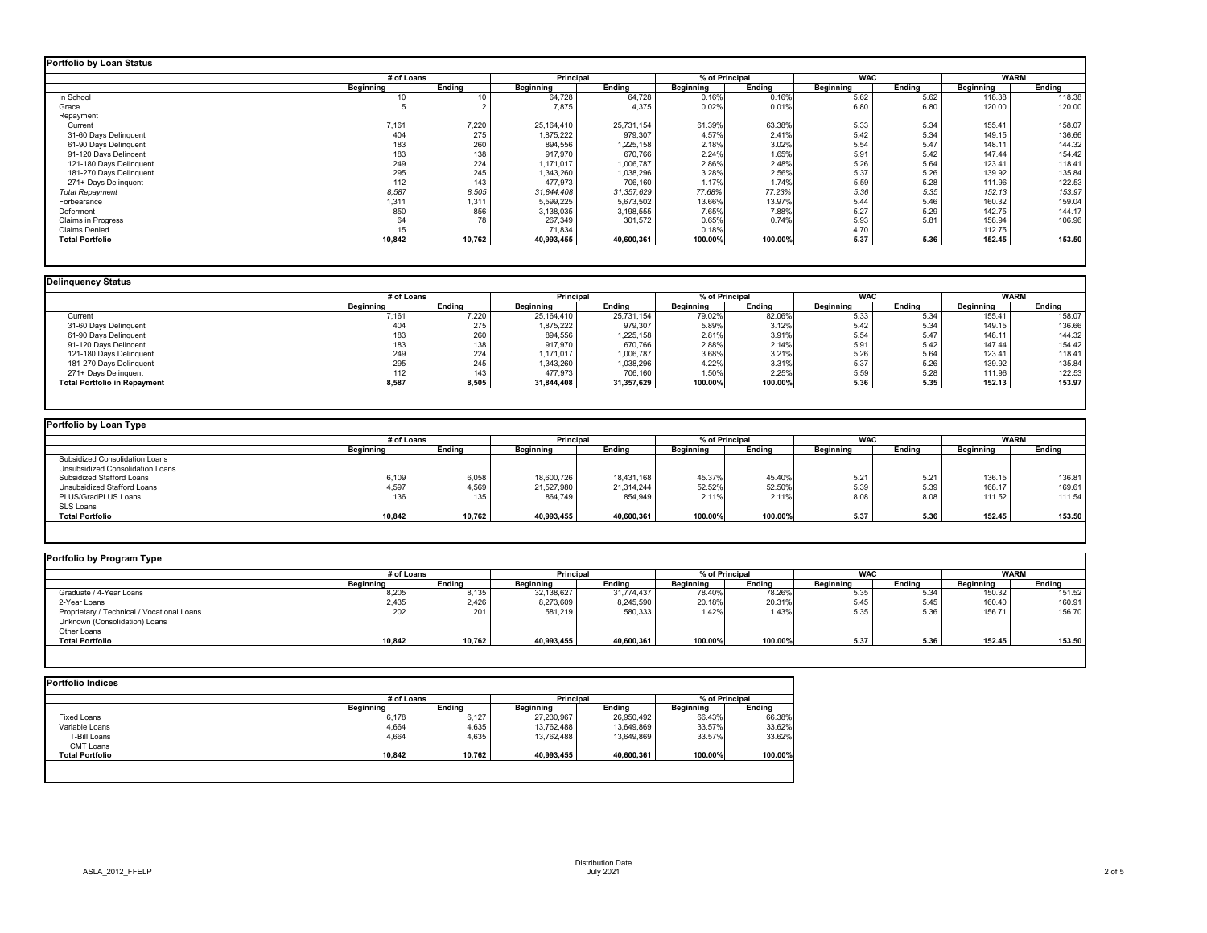|                           | # of Loans       |               | <b>Principal</b> |               | % of Principal   |         | <b>WAC</b>       |               | <b>WARM</b>      |               |
|---------------------------|------------------|---------------|------------------|---------------|------------------|---------|------------------|---------------|------------------|---------------|
|                           | <b>Beginning</b> | <b>Ending</b> | <b>Beginning</b> | <b>Ending</b> | <b>Beginning</b> | Ending  | <b>Beginning</b> | <b>Ending</b> | <b>Beginning</b> | <b>Ending</b> |
| In School                 | 10               | 10            | 64,728           | 64,728        | 0.16%            | 0.16%   | 5.62             | 5.62          | 118.38           | 118.38        |
| Grace                     |                  |               | 7,875            | 4,375         | 0.02%            | 0.01%   | 6.80             | 6.80          | 120.00           | 120.00        |
| Repayment                 |                  |               |                  |               |                  |         |                  |               |                  |               |
| Current                   | 7,161            | 7,220         | 25,164,410       | 25,731,154    | 61.39%           | 63.38%  | 5.33             | 5.34          | 155.41           | 158.07        |
| 31-60 Days Delinquent     | 404              | 275           | 1,875,222        | 979,307       | 4.57%            | 2.41%   | 5.42             | 5.34          | 149.15           | 136.66        |
| 61-90 Days Delinquent     | 183              | 260           | 894,556          | 1,225,158     | 2.18%            | 3.02%   | 5.54             | 5.47          | 148.11           | 144.32        |
| 91-120 Days Delingent     | 183              | 138           | 917,970          | 670,766       | 2.24%            | 1.65%   | 5.91             | 5.42          | 147.44           | 154.42        |
| 121-180 Days Delinquent   | 249              | 224           | 1,171,017        | 1,006,787     | 2.86%            | 2.48%   | 5.26             | 5.64          | 123.41           | 118.41        |
| 181-270 Days Delinquent   | 295              | 245           | 1,343,260        | 1,038,296     | 3.28%            | 2.56%   | 5.37             | 5.26          | 139.92           | 135.84        |
| 271+ Days Delinquent      | 112              | 143           | 477,973          | 706,160       | 1.17%            | 1.74%   | 5.59             | 5.28          | 111.96           | 122.53        |
| <b>Total Repayment</b>    | 8,587            | 8,505         | 31,844,408       | 31,357,629    | 77.68%           | 77.23%  | 5.36             | 5.35          | 152.13           | 153.97        |
| Forbearance               | 1,311            | 1,311         | 5,599,225        | 5,673,502     | 13.66%           | 13.97%  | 5.44             | 5.46          | 160.32           | 159.04        |
| Deferment                 | 850              | 856           | 3,138,035        | 3,198,555     | 7.65%            | 7.88%   | 5.27             | 5.29          | 142.75           | 144.17        |
| <b>Claims in Progress</b> | 64               | 78            | 267,349          | 301,572       | 0.65%            | 0.74%   | 5.93             | 5.81          | 158.94           | 106.96        |
| <b>Claims Denied</b>      | 15               |               | 71,834           |               | 0.18%            |         | 4.70             |               | 112.75           |               |
| <b>Total Portfolio</b>    | 10,842           | 10,762        | 40,993,455       | 40,600,361    | 100.00%          | 100.00% | 5.37             | 5.36          | 152.45           | 153.50        |

## **Portfolio by Loan Type**

|                                     |           | # of Loans       |                  | <b>Principal</b> | % of Principal   |               | <b>WAC</b>       |               | <b>WARM</b>      |               |
|-------------------------------------|-----------|------------------|------------------|------------------|------------------|---------------|------------------|---------------|------------------|---------------|
|                                     | Beginning | <b>Ending</b>    | <b>Beginning</b> | <b>Ending</b>    | <b>Beginning</b> | <b>Ending</b> | <b>Beginning</b> | <b>Ending</b> | <b>Beginning</b> | <b>Ending</b> |
| Current                             | 7,161     | 7,220            | 25, 164, 410     | 25,731,154       | 79.02%           | 82.06%        | 5.33             | 5.34          | 155.41           | 158.07        |
| 31-60 Days Delinquent               | 404       | 275              | 1,875,222        | 979,307          | 5.89%            | 3.12%         | 5.42             | 5.34          | 149.15           | 136.66        |
| 61-90 Days Delinquent               | 183       | 260              | 894,556          | 1,225,158        | 2.81%            | 3.91%         | 5.54             | 5.47          | 148.11           | 144.32        |
| 91-120 Days Delingent               | 183       | 138              | 917,970          | 670,766          | 2.88%            | 2.14%         | 5.91             | 5.42          | 147.44           | 154.42        |
| 121-180 Days Delinquent             | 249       | 224              | 1,171,017        | 1,006,787        | 3.68%            | 3.21%         | 5.26             | 5.64          | 123.41           | 118.41        |
| 181-270 Days Delinquent             | 295       | 245              | 1,343,260        | 1,038,296        | 4.22%            | 3.31%         | 5.37             | 5.26          | 139.92           | 135.84        |
| 271+ Days Delinquent                | 112       | 143 <sub>1</sub> | 477,973          | 706,160          | 1.50%            | 2.25%         | 5.59             | 5.28          | 111.96           | 122.53        |
| <b>Total Portfolio in Repayment</b> | 8,587     | 8,505            | 31,844,408       | 31,357,629       | 100.00%          | 100.00%       | 5.36             | 5.35          | 152.13           | 153.97        |

## **Portfolio by Program Type**

| Portfolio by Loan Type                  |                  |               |                  |                                    |                  |               |                  |               |                  |               |
|-----------------------------------------|------------------|---------------|------------------|------------------------------------|------------------|---------------|------------------|---------------|------------------|---------------|
|                                         |                  | # of Loans    |                  | % of Principal<br><b>Principal</b> |                  |               | <b>WAC</b>       |               | <b>WARM</b>      |               |
|                                         | <b>Beginning</b> | <b>Ending</b> | <b>Beginning</b> | <b>Ending</b>                      | <b>Beginning</b> | <b>Ending</b> | <b>Beginning</b> | <b>Ending</b> | <b>Beginning</b> | <b>Ending</b> |
| <b>Subsidized Consolidation Loans</b>   |                  |               |                  |                                    |                  |               |                  |               |                  |               |
| <b>Unsubsidized Consolidation Loans</b> |                  |               |                  |                                    |                  |               |                  |               |                  |               |
| <b>Subsidized Stafford Loans</b>        | 6,109            | 6,058         | 18,600,726       | 18,431,168                         | 45.37%           | 45.40%        | 5.21             | 5.21          | 136.15           | 136.81        |
| Unsubsidized Stafford Loans             | 4,597            | 4,569         | 21,527,980       | 21,314,244                         | 52.52%           | 52.50%        | 5.39             | 5.39          | 168.17           | 169.61        |
| PLUS/GradPLUS Loans                     | 136              | 135           | 864,749          | 854,949                            | 2.11%            | 2.11%         | 8.08             | 8.08          | 111.52           | 111.54        |
| <b>SLS Loans</b>                        |                  |               |                  |                                    |                  |               |                  |               |                  |               |
| <b>Total Portfolio</b>                  | 10,842           | 10,762        | 40,993,455       | 40,600,361                         | 100.00%          | 100.00%       | 5.37             | 5.36          | 152.45           | 153.50        |
|                                         |                  |               |                  |                                    |                  |               |                  |               |                  |               |

|                                            |                  | # of Loans    |                  | % of Principal<br><b>Principal</b> |                  |               | <b>WAC</b>       |        |                  | <b>WARM</b>   |  |
|--------------------------------------------|------------------|---------------|------------------|------------------------------------|------------------|---------------|------------------|--------|------------------|---------------|--|
|                                            | <b>Beginning</b> | <b>Ending</b> | <b>Beginning</b> | <b>Ending</b>                      | <b>Beginning</b> | <b>Ending</b> | <b>Beginning</b> | Ending | <b>Beginning</b> | <b>Ending</b> |  |
| Graduate / 4-Year Loans                    | 8,205            | 8,135         | 32,138,627       | 31,774,437                         | 78.40%           | 78.26%        | 5.35             | 5.34   | 150.32           | 151.52        |  |
| 2-Year Loans                               | 2,435            | 2,426         | 8,273,609        | 8,245,590                          | 20.18%           | 20.31%        | 5.45             | 5.45   | 160.40           | 160.91        |  |
| Proprietary / Technical / Vocational Loans | 202              | 201           | 581,219          | 580,333                            | 1.42%            | 1.43%         | 5.35             | 5.36   | 156.71           | 156.70        |  |
| Unknown (Consolidation) Loans              |                  |               |                  |                                    |                  |               |                  |        |                  |               |  |
| Other Loans                                |                  |               |                  |                                    |                  |               |                  |        |                  |               |  |
| <b>Total Portfolio</b>                     | 10,842           | 10,762        | 40,993,455       | 40,600,361                         | 100.00%          | 100.00%       | 5.37             | 5.36   | 152.45           | 153.50        |  |

|                        | # of Loans       |               | <b>Principal</b> |               | % of Principal   |               |  |
|------------------------|------------------|---------------|------------------|---------------|------------------|---------------|--|
|                        | <b>Beginning</b> | <b>Ending</b> | <b>Beginning</b> | <b>Ending</b> | <b>Beginning</b> | <b>Ending</b> |  |
| <b>Fixed Loans</b>     | 6,178            | 6,127         | 27,230,967       | 26,950,492    | 66.43%           | 66.38%        |  |
| Variable Loans         | 4,664            | 4,635         | 13,762,488       | 13,649,869    | 33.57%           | 33.62%        |  |
| T-Bill Loans           | 4,664            | 4,635         | 13,762,488       | 13,649,869    | 33.57%           | 33.62%        |  |
| <b>CMT Loans</b>       |                  |               |                  |               |                  |               |  |
| <b>Total Portfolio</b> | 10,842           | 10,762        | 40,993,455       | 40,600,361    | 100.00%          | 100.00%       |  |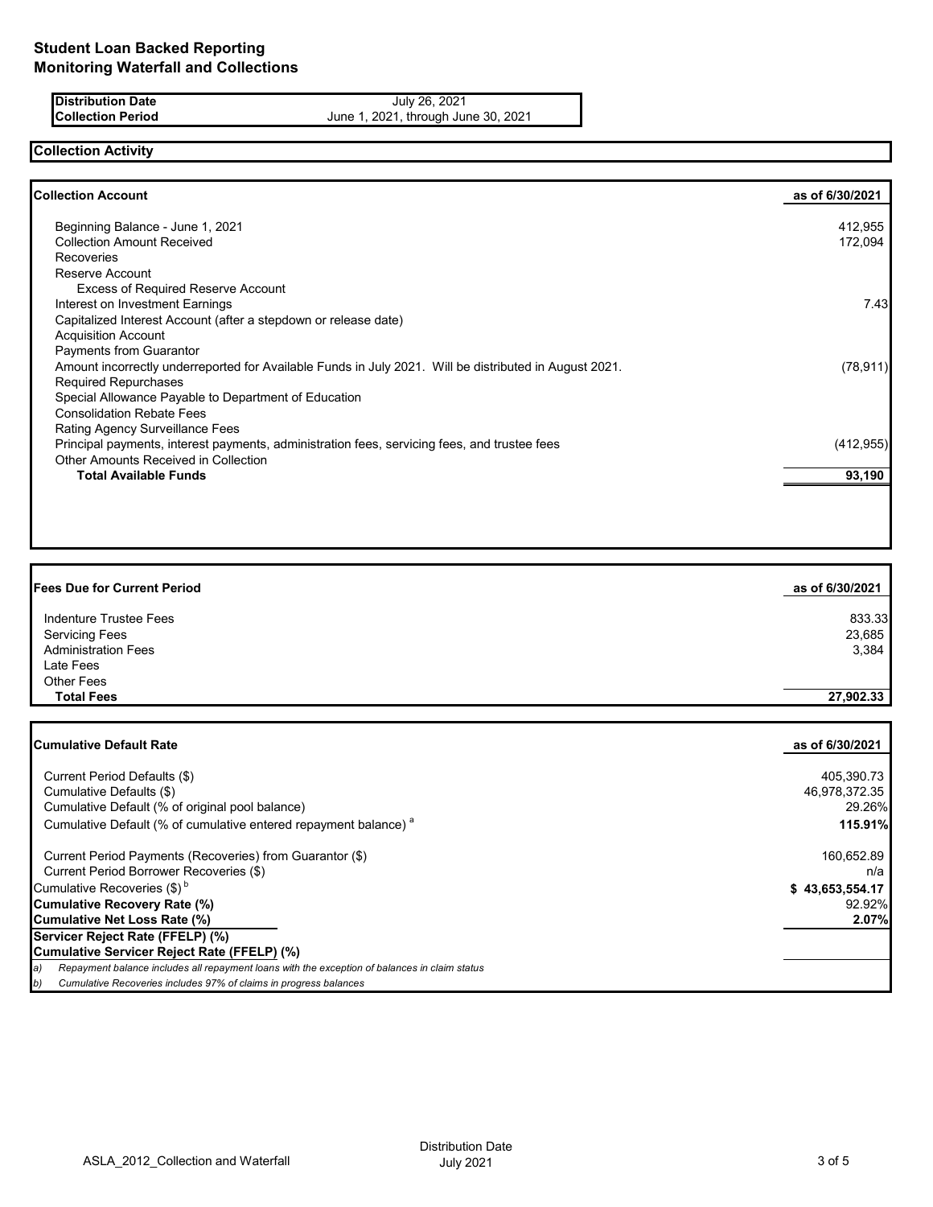**Distribution Date July 26, 2021 Collection Period** June 1, 2021, through June 30, 2021

# **Collection Activity**

| Collection Account                                                                                     | as of 6/30/2021 |
|--------------------------------------------------------------------------------------------------------|-----------------|
| Beginning Balance - June 1, 2021                                                                       | 412,955         |
| <b>Collection Amount Received</b>                                                                      | 172,094         |
| <b>Recoveries</b>                                                                                      |                 |
| Reserve Account                                                                                        |                 |
| <b>Excess of Required Reserve Account</b>                                                              |                 |
| Interest on Investment Earnings                                                                        | 7.43            |
| Capitalized Interest Account (after a stepdown or release date)                                        |                 |
| <b>Acquisition Account</b>                                                                             |                 |
| Payments from Guarantor                                                                                |                 |
| Amount incorrectly underreported for Available Funds in July 2021. Will be distributed in August 2021. | (78, 911)       |
| <b>Required Repurchases</b>                                                                            |                 |
| Special Allowance Payable to Department of Education                                                   |                 |
| <b>Consolidation Rebate Fees</b>                                                                       |                 |
| Rating Agency Surveillance Fees                                                                        |                 |
| Principal payments, interest payments, administration fees, servicing fees, and trustee fees           | (412, 955)      |
| Other Amounts Received in Collection                                                                   |                 |
| <b>Total Available Funds</b>                                                                           | 93,190          |
|                                                                                                        |                 |
|                                                                                                        |                 |

| as of 6/30/2021 |
|-----------------|
| 833.33          |
| 23,685          |
| 3,384           |
|                 |
|                 |
| 27,902.33       |
|                 |

| <b>Cumulative Default Rate</b>                                                                      | as of 6/30/2021 |
|-----------------------------------------------------------------------------------------------------|-----------------|
|                                                                                                     |                 |
| Current Period Defaults (\$)                                                                        | 405,390.73      |
| Cumulative Defaults (\$)                                                                            | 46,978,372.35   |
| Cumulative Default (% of original pool balance)                                                     | 29.26%          |
| Cumulative Default (% of cumulative entered repayment balance) <sup>a</sup>                         | 115.91%         |
| Current Period Payments (Recoveries) from Guarantor (\$)                                            | 160,652.89      |
| Current Period Borrower Recoveries (\$)                                                             | n/a             |
| Cumulative Recoveries $(\$)^b$                                                                      | \$43,653,554.17 |
| Cumulative Recovery Rate (%)                                                                        | 92.92%          |
| Cumulative Net Loss Rate (%)                                                                        | 2.07%           |
| Servicer Reject Rate (FFELP) (%)                                                                    |                 |
| Cumulative Servicer Reject Rate (FFELP) (%)                                                         |                 |
| Repayment balance includes all repayment loans with the exception of balances in claim status<br>a) |                 |
| Cumulative Recoveries includes 97% of claims in progress balances<br>D)                             |                 |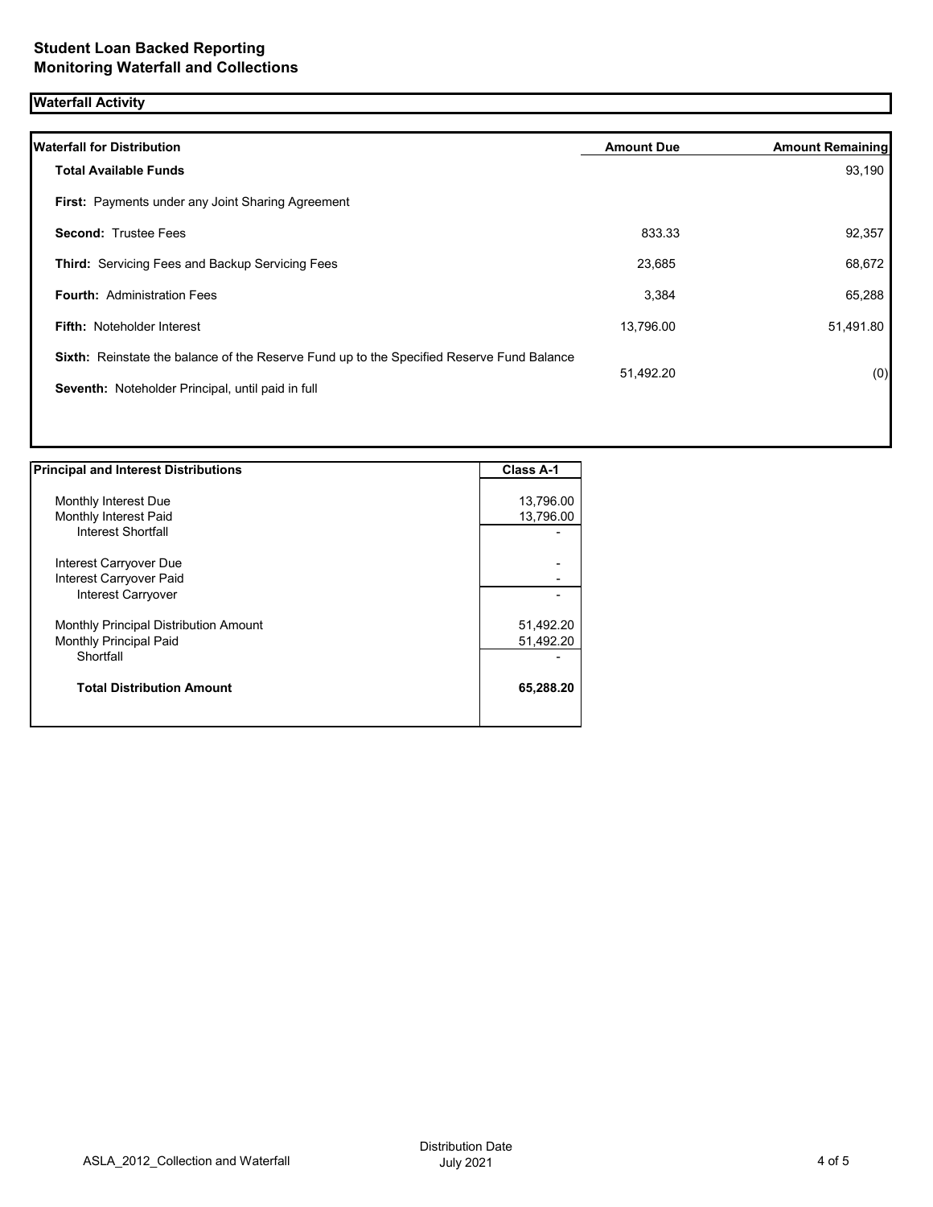## **Waterfall Activity**

| <b>Waterfall for Distribution</b>                                                         | <b>Amount Due</b> | <b>Amount Remaining</b> |
|-------------------------------------------------------------------------------------------|-------------------|-------------------------|
| <b>Total Available Funds</b>                                                              |                   | 93,190                  |
| First: Payments under any Joint Sharing Agreement                                         |                   |                         |
| <b>Second: Trustee Fees</b>                                                               | 833.33            | 92,357                  |
| <b>Third:</b> Servicing Fees and Backup Servicing Fees                                    | 23,685            | 68,672                  |
| <b>Fourth: Administration Fees</b>                                                        | 3,384             | 65,288                  |
| <b>Fifth: Noteholder Interest</b>                                                         | 13,796.00         | 51,491.80               |
| Sixth: Reinstate the balance of the Reserve Fund up to the Specified Reserve Fund Balance | 51,492.20         |                         |
| Seventh: Noteholder Principal, until paid in full                                         |                   | (0)                     |
|                                                                                           |                   |                         |
|                                                                                           |                   |                         |

| <b>Principal and Interest Distributions</b>  | Class A-1 |
|----------------------------------------------|-----------|
|                                              |           |
| Monthly Interest Due                         | 13,796.00 |
| Monthly Interest Paid                        | 13,796.00 |
| Interest Shortfall                           |           |
| Interest Carryover Due                       |           |
| Interest Carryover Paid                      |           |
| Interest Carryover                           |           |
| <b>Monthly Principal Distribution Amount</b> | 51,492.20 |
| <b>Monthly Principal Paid</b>                | 51,492.20 |
| Shortfall                                    |           |
| <b>Total Distribution Amount</b>             | 65,288.20 |
|                                              |           |